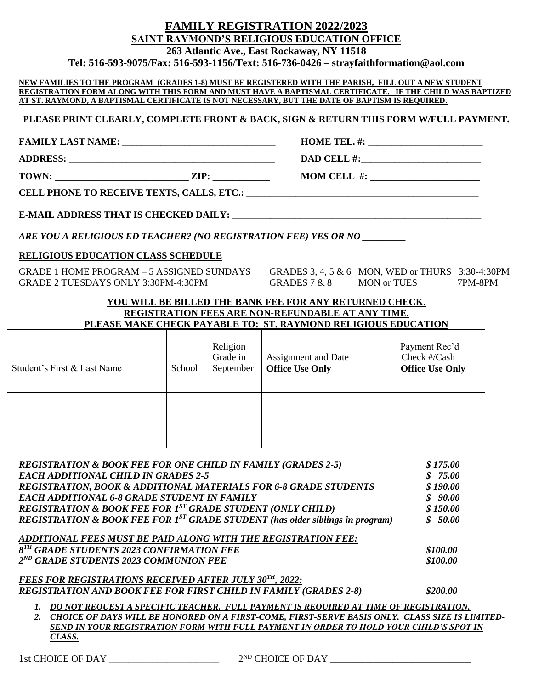| 263 Atlantic Ave., East Rockaway, NY 11518<br>Tel: 516-593-9075/Fax: 516-593-1156/Text: 516-736-0426 – strayfaithformation@aol.com<br>NEW FAMILIES TO THE PROGRAM (GRADES 1-8) MUST BE REGISTERED WITH THE PARISH, FILL OUT A NEW STUDENT<br>REGISTRATION FORM ALONG WITH THIS FORM AND MUST HAVE A BAPTISMAL CERTIFICATE. IF THE CHILD WAS BAPTIZED<br>AT ST. RAYMOND, A BAPTISMAL CERTIFICATE IS NOT NECESSARY, BUT THE DATE OF BAPTISM IS REQUIRED.<br>PLEASE PRINT CLEARLY, COMPLETE FRONT & BACK, SIGN & RETURN THIS FORM W/FULL PAYMENT.<br>DAD CELL #: $\qquad \qquad$<br>$MOM$ CELL #: $\frac{1}{2}$<br>ARE YOU A RELIGIOUS ED TEACHER? (NO REGISTRATION FEE) YES OR NO ________<br><b>RELIGIOUS EDUCATION CLASS SCHEDULE</b><br>GRADE 1 HOME PROGRAM - 5 ASSIGNED SUNDAYS GRADES 3, 4, 5 & 6 MON, WED or THURS 3:30-4:30PM<br>GRADE 2 TUESDAYS ONLY 3:30PM-4:30PM<br>GRADES $7 & 8$ MON or TUES<br>7PM-8PM<br>YOU WILL BE BILLED THE BANK FEE FOR ANY RETURNED CHECK.<br>REGISTRATION FEES ARE NON-REFUNDABLE AT ANY TIME.<br>PLEASE MAKE CHECK PAYABLE TO: ST. RAYMOND RELIGIOUS EDUCATION<br>Payment Rec'd<br>Religion<br>Grade in<br>Assignment and Date<br>Check #/Cash<br><b>Office Use Only</b><br>Student's First & Last Name<br>September<br><b>Office Use Only</b><br>School<br>\$175.00<br><b>REGISTRATION &amp; BOOK FEE FOR ONE CHILD IN FAMILY (GRADES 2-5)</b><br><b>EACH ADDITIONAL CHILD IN GRADES 2-5</b><br>\$75.00<br>REGISTRATION, BOOK & ADDITIONAL MATERIALS FOR 6-8 GRADE STUDENTS<br>\$190.00<br><b>EACH ADDITIONAL 6-8 GRADE STUDENT IN FAMILY</b><br>\$90.00<br><b>REGISTRATION &amp; BOOK FEE FOR 1ST GRADE STUDENT (ONLY CHILD)</b><br>\$150.00<br><b>REGISTRATION &amp; BOOK FEE FOR 1ST GRADE STUDENT</b> (has older siblings in program)<br>\$50.00<br>ADDITIONAL FEES MUST BE PAID ALONG WITH THE REGISTRATION FEE:<br>8 <sup>TH</sup> GRADE STUDENTS 2023 CONFIRMATION FEE<br>\$100.00<br>2 <sup>ND</sup> GRADE STUDENTS 2023 COMMUNION FEE<br>\$100.00<br><b>FEES FOR REGISTRATIONS RECEIVED AFTER JULY 30TH, 2022:</b><br><b>REGISTRATION AND BOOK FEE FOR FIRST CHILD IN FAMILY (GRADES 2-8)</b><br>\$200.00<br>1. DO NOT REQUEST A SPECIFIC TEACHER. FULL PAYMENT IS REQUIRED AT TIME OF REGISTRATION.<br>2. CHOICE OF DAYS WILL BE HONORED ON A FIRST-COME, FIRST-SERVE BASIS ONLY. CLASS SIZE IS LIMITED- |  | <b>FAMILY REGISTRATION 2022/2023</b><br>SAINT RAYMOND'S RELIGIOUS EDUCATION OFFICE |  |
|-----------------------------------------------------------------------------------------------------------------------------------------------------------------------------------------------------------------------------------------------------------------------------------------------------------------------------------------------------------------------------------------------------------------------------------------------------------------------------------------------------------------------------------------------------------------------------------------------------------------------------------------------------------------------------------------------------------------------------------------------------------------------------------------------------------------------------------------------------------------------------------------------------------------------------------------------------------------------------------------------------------------------------------------------------------------------------------------------------------------------------------------------------------------------------------------------------------------------------------------------------------------------------------------------------------------------------------------------------------------------------------------------------------------------------------------------------------------------------------------------------------------------------------------------------------------------------------------------------------------------------------------------------------------------------------------------------------------------------------------------------------------------------------------------------------------------------------------------------------------------------------------------------------------------------------------------------------------------------------------------------------------------------------------------------------------------------------------------------------------------------------------------------------------------------------------------------------------------------------------------------------------------------------------------------------------------------------------------------------|--|------------------------------------------------------------------------------------|--|
|                                                                                                                                                                                                                                                                                                                                                                                                                                                                                                                                                                                                                                                                                                                                                                                                                                                                                                                                                                                                                                                                                                                                                                                                                                                                                                                                                                                                                                                                                                                                                                                                                                                                                                                                                                                                                                                                                                                                                                                                                                                                                                                                                                                                                                                                                                                                                           |  |                                                                                    |  |
|                                                                                                                                                                                                                                                                                                                                                                                                                                                                                                                                                                                                                                                                                                                                                                                                                                                                                                                                                                                                                                                                                                                                                                                                                                                                                                                                                                                                                                                                                                                                                                                                                                                                                                                                                                                                                                                                                                                                                                                                                                                                                                                                                                                                                                                                                                                                                           |  |                                                                                    |  |
|                                                                                                                                                                                                                                                                                                                                                                                                                                                                                                                                                                                                                                                                                                                                                                                                                                                                                                                                                                                                                                                                                                                                                                                                                                                                                                                                                                                                                                                                                                                                                                                                                                                                                                                                                                                                                                                                                                                                                                                                                                                                                                                                                                                                                                                                                                                                                           |  |                                                                                    |  |
|                                                                                                                                                                                                                                                                                                                                                                                                                                                                                                                                                                                                                                                                                                                                                                                                                                                                                                                                                                                                                                                                                                                                                                                                                                                                                                                                                                                                                                                                                                                                                                                                                                                                                                                                                                                                                                                                                                                                                                                                                                                                                                                                                                                                                                                                                                                                                           |  |                                                                                    |  |
|                                                                                                                                                                                                                                                                                                                                                                                                                                                                                                                                                                                                                                                                                                                                                                                                                                                                                                                                                                                                                                                                                                                                                                                                                                                                                                                                                                                                                                                                                                                                                                                                                                                                                                                                                                                                                                                                                                                                                                                                                                                                                                                                                                                                                                                                                                                                                           |  |                                                                                    |  |
|                                                                                                                                                                                                                                                                                                                                                                                                                                                                                                                                                                                                                                                                                                                                                                                                                                                                                                                                                                                                                                                                                                                                                                                                                                                                                                                                                                                                                                                                                                                                                                                                                                                                                                                                                                                                                                                                                                                                                                                                                                                                                                                                                                                                                                                                                                                                                           |  |                                                                                    |  |
|                                                                                                                                                                                                                                                                                                                                                                                                                                                                                                                                                                                                                                                                                                                                                                                                                                                                                                                                                                                                                                                                                                                                                                                                                                                                                                                                                                                                                                                                                                                                                                                                                                                                                                                                                                                                                                                                                                                                                                                                                                                                                                                                                                                                                                                                                                                                                           |  |                                                                                    |  |
|                                                                                                                                                                                                                                                                                                                                                                                                                                                                                                                                                                                                                                                                                                                                                                                                                                                                                                                                                                                                                                                                                                                                                                                                                                                                                                                                                                                                                                                                                                                                                                                                                                                                                                                                                                                                                                                                                                                                                                                                                                                                                                                                                                                                                                                                                                                                                           |  |                                                                                    |  |
|                                                                                                                                                                                                                                                                                                                                                                                                                                                                                                                                                                                                                                                                                                                                                                                                                                                                                                                                                                                                                                                                                                                                                                                                                                                                                                                                                                                                                                                                                                                                                                                                                                                                                                                                                                                                                                                                                                                                                                                                                                                                                                                                                                                                                                                                                                                                                           |  |                                                                                    |  |
|                                                                                                                                                                                                                                                                                                                                                                                                                                                                                                                                                                                                                                                                                                                                                                                                                                                                                                                                                                                                                                                                                                                                                                                                                                                                                                                                                                                                                                                                                                                                                                                                                                                                                                                                                                                                                                                                                                                                                                                                                                                                                                                                                                                                                                                                                                                                                           |  |                                                                                    |  |
|                                                                                                                                                                                                                                                                                                                                                                                                                                                                                                                                                                                                                                                                                                                                                                                                                                                                                                                                                                                                                                                                                                                                                                                                                                                                                                                                                                                                                                                                                                                                                                                                                                                                                                                                                                                                                                                                                                                                                                                                                                                                                                                                                                                                                                                                                                                                                           |  |                                                                                    |  |
|                                                                                                                                                                                                                                                                                                                                                                                                                                                                                                                                                                                                                                                                                                                                                                                                                                                                                                                                                                                                                                                                                                                                                                                                                                                                                                                                                                                                                                                                                                                                                                                                                                                                                                                                                                                                                                                                                                                                                                                                                                                                                                                                                                                                                                                                                                                                                           |  |                                                                                    |  |
|                                                                                                                                                                                                                                                                                                                                                                                                                                                                                                                                                                                                                                                                                                                                                                                                                                                                                                                                                                                                                                                                                                                                                                                                                                                                                                                                                                                                                                                                                                                                                                                                                                                                                                                                                                                                                                                                                                                                                                                                                                                                                                                                                                                                                                                                                                                                                           |  |                                                                                    |  |
|                                                                                                                                                                                                                                                                                                                                                                                                                                                                                                                                                                                                                                                                                                                                                                                                                                                                                                                                                                                                                                                                                                                                                                                                                                                                                                                                                                                                                                                                                                                                                                                                                                                                                                                                                                                                                                                                                                                                                                                                                                                                                                                                                                                                                                                                                                                                                           |  |                                                                                    |  |
|                                                                                                                                                                                                                                                                                                                                                                                                                                                                                                                                                                                                                                                                                                                                                                                                                                                                                                                                                                                                                                                                                                                                                                                                                                                                                                                                                                                                                                                                                                                                                                                                                                                                                                                                                                                                                                                                                                                                                                                                                                                                                                                                                                                                                                                                                                                                                           |  |                                                                                    |  |
|                                                                                                                                                                                                                                                                                                                                                                                                                                                                                                                                                                                                                                                                                                                                                                                                                                                                                                                                                                                                                                                                                                                                                                                                                                                                                                                                                                                                                                                                                                                                                                                                                                                                                                                                                                                                                                                                                                                                                                                                                                                                                                                                                                                                                                                                                                                                                           |  |                                                                                    |  |
|                                                                                                                                                                                                                                                                                                                                                                                                                                                                                                                                                                                                                                                                                                                                                                                                                                                                                                                                                                                                                                                                                                                                                                                                                                                                                                                                                                                                                                                                                                                                                                                                                                                                                                                                                                                                                                                                                                                                                                                                                                                                                                                                                                                                                                                                                                                                                           |  |                                                                                    |  |
|                                                                                                                                                                                                                                                                                                                                                                                                                                                                                                                                                                                                                                                                                                                                                                                                                                                                                                                                                                                                                                                                                                                                                                                                                                                                                                                                                                                                                                                                                                                                                                                                                                                                                                                                                                                                                                                                                                                                                                                                                                                                                                                                                                                                                                                                                                                                                           |  |                                                                                    |  |
|                                                                                                                                                                                                                                                                                                                                                                                                                                                                                                                                                                                                                                                                                                                                                                                                                                                                                                                                                                                                                                                                                                                                                                                                                                                                                                                                                                                                                                                                                                                                                                                                                                                                                                                                                                                                                                                                                                                                                                                                                                                                                                                                                                                                                                                                                                                                                           |  |                                                                                    |  |
|                                                                                                                                                                                                                                                                                                                                                                                                                                                                                                                                                                                                                                                                                                                                                                                                                                                                                                                                                                                                                                                                                                                                                                                                                                                                                                                                                                                                                                                                                                                                                                                                                                                                                                                                                                                                                                                                                                                                                                                                                                                                                                                                                                                                                                                                                                                                                           |  |                                                                                    |  |
|                                                                                                                                                                                                                                                                                                                                                                                                                                                                                                                                                                                                                                                                                                                                                                                                                                                                                                                                                                                                                                                                                                                                                                                                                                                                                                                                                                                                                                                                                                                                                                                                                                                                                                                                                                                                                                                                                                                                                                                                                                                                                                                                                                                                                                                                                                                                                           |  |                                                                                    |  |
|                                                                                                                                                                                                                                                                                                                                                                                                                                                                                                                                                                                                                                                                                                                                                                                                                                                                                                                                                                                                                                                                                                                                                                                                                                                                                                                                                                                                                                                                                                                                                                                                                                                                                                                                                                                                                                                                                                                                                                                                                                                                                                                                                                                                                                                                                                                                                           |  |                                                                                    |  |
|                                                                                                                                                                                                                                                                                                                                                                                                                                                                                                                                                                                                                                                                                                                                                                                                                                                                                                                                                                                                                                                                                                                                                                                                                                                                                                                                                                                                                                                                                                                                                                                                                                                                                                                                                                                                                                                                                                                                                                                                                                                                                                                                                                                                                                                                                                                                                           |  |                                                                                    |  |
|                                                                                                                                                                                                                                                                                                                                                                                                                                                                                                                                                                                                                                                                                                                                                                                                                                                                                                                                                                                                                                                                                                                                                                                                                                                                                                                                                                                                                                                                                                                                                                                                                                                                                                                                                                                                                                                                                                                                                                                                                                                                                                                                                                                                                                                                                                                                                           |  |                                                                                    |  |
|                                                                                                                                                                                                                                                                                                                                                                                                                                                                                                                                                                                                                                                                                                                                                                                                                                                                                                                                                                                                                                                                                                                                                                                                                                                                                                                                                                                                                                                                                                                                                                                                                                                                                                                                                                                                                                                                                                                                                                                                                                                                                                                                                                                                                                                                                                                                                           |  |                                                                                    |  |
|                                                                                                                                                                                                                                                                                                                                                                                                                                                                                                                                                                                                                                                                                                                                                                                                                                                                                                                                                                                                                                                                                                                                                                                                                                                                                                                                                                                                                                                                                                                                                                                                                                                                                                                                                                                                                                                                                                                                                                                                                                                                                                                                                                                                                                                                                                                                                           |  |                                                                                    |  |
|                                                                                                                                                                                                                                                                                                                                                                                                                                                                                                                                                                                                                                                                                                                                                                                                                                                                                                                                                                                                                                                                                                                                                                                                                                                                                                                                                                                                                                                                                                                                                                                                                                                                                                                                                                                                                                                                                                                                                                                                                                                                                                                                                                                                                                                                                                                                                           |  |                                                                                    |  |
|                                                                                                                                                                                                                                                                                                                                                                                                                                                                                                                                                                                                                                                                                                                                                                                                                                                                                                                                                                                                                                                                                                                                                                                                                                                                                                                                                                                                                                                                                                                                                                                                                                                                                                                                                                                                                                                                                                                                                                                                                                                                                                                                                                                                                                                                                                                                                           |  |                                                                                    |  |
|                                                                                                                                                                                                                                                                                                                                                                                                                                                                                                                                                                                                                                                                                                                                                                                                                                                                                                                                                                                                                                                                                                                                                                                                                                                                                                                                                                                                                                                                                                                                                                                                                                                                                                                                                                                                                                                                                                                                                                                                                                                                                                                                                                                                                                                                                                                                                           |  |                                                                                    |  |
|                                                                                                                                                                                                                                                                                                                                                                                                                                                                                                                                                                                                                                                                                                                                                                                                                                                                                                                                                                                                                                                                                                                                                                                                                                                                                                                                                                                                                                                                                                                                                                                                                                                                                                                                                                                                                                                                                                                                                                                                                                                                                                                                                                                                                                                                                                                                                           |  |                                                                                    |  |
|                                                                                                                                                                                                                                                                                                                                                                                                                                                                                                                                                                                                                                                                                                                                                                                                                                                                                                                                                                                                                                                                                                                                                                                                                                                                                                                                                                                                                                                                                                                                                                                                                                                                                                                                                                                                                                                                                                                                                                                                                                                                                                                                                                                                                                                                                                                                                           |  |                                                                                    |  |
|                                                                                                                                                                                                                                                                                                                                                                                                                                                                                                                                                                                                                                                                                                                                                                                                                                                                                                                                                                                                                                                                                                                                                                                                                                                                                                                                                                                                                                                                                                                                                                                                                                                                                                                                                                                                                                                                                                                                                                                                                                                                                                                                                                                                                                                                                                                                                           |  |                                                                                    |  |

*2. CHOICE OF DAYS WILL BE HONORED ON A FIRST-COME, FIRST-SERVE BASIS ONLY. CLASS SIZE IS LIMITED-SEND IN YOUR REGISTRATION FORM WITH FULL PAYMENT IN ORDER TO HOLD YOUR CHILD'S SPOT IN CLASS.*

 $2^{ND}$  CHOICE OF DAY  $\_\_$